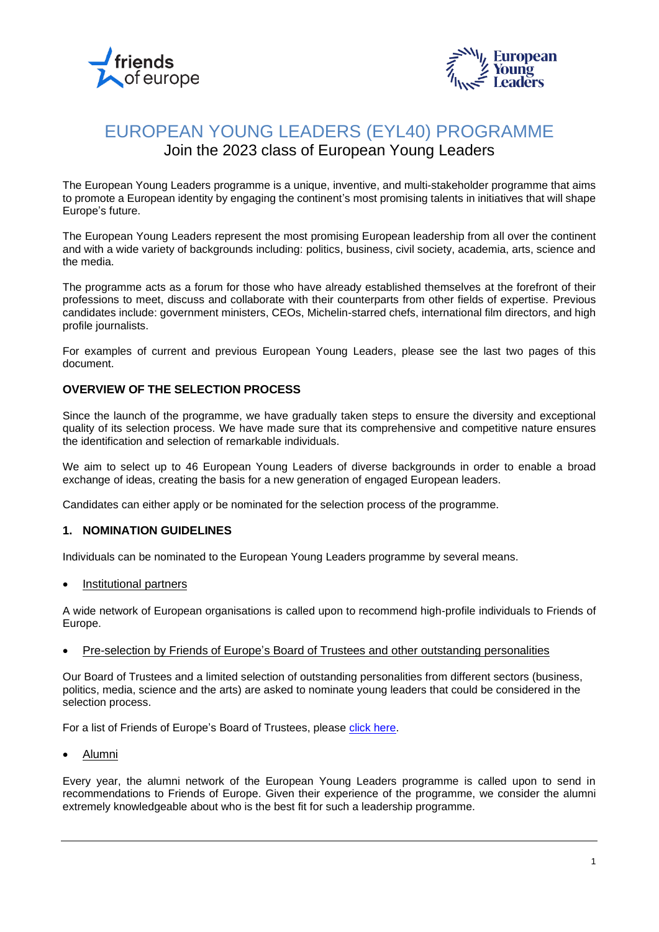



## EUROPEAN YOUNG LEADERS (EYL40) PROGRAMME Join the 2023 class of European Young Leaders

The European Young Leaders programme is a unique, inventive, and multi-stakeholder programme that aims to promote a European identity by engaging the continent's most promising talents in initiatives that will shape Europe's future.

The European Young Leaders represent the most promising European leadership from all over the continent and with a wide variety of backgrounds including: politics, business, civil society, academia, arts, science and the media.

The programme acts as a forum for those who have already established themselves at the forefront of their professions to meet, discuss and collaborate with their counterparts from other fields of expertise. Previous candidates include: government ministers, CEOs, Michelin-starred chefs, international film directors, and high profile journalists.

For examples of current and previous European Young Leaders, please see the last two pages of this document.

## **OVERVIEW OF THE SELECTION PROCESS**

Since the launch of the programme, we have gradually taken steps to ensure the diversity and exceptional quality of its selection process. We have made sure that its comprehensive and competitive nature ensures the identification and selection of remarkable individuals.

We aim to select up to 46 European Young Leaders of diverse backgrounds in order to enable a broad exchange of ideas, creating the basis for a new generation of engaged European leaders.

Candidates can either apply or be nominated for the selection process of the programme.

## **1. NOMINATION GUIDELINES**

Individuals can be nominated to the European Young Leaders programme by several means.

• Institutional partners

A wide network of European organisations is called upon to recommend high-profile individuals to Friends of Europe.

• Pre-selection by Friends of Europe's Board of Trustees and other outstanding personalities

Our Board of Trustees and a limited selection of outstanding personalities from different sectors (business, politics, media, science and the arts) are asked to nominate young leaders that could be considered in the selection process.

For a list of Friends of Europe's Board of Trustees, please [click here.](https://www.friendsofeurope.org/governance/)

• Alumni

Every year, the alumni network of the European Young Leaders programme is called upon to send in recommendations to Friends of Europe. Given their experience of the programme, we consider the alumni extremely knowledgeable about who is the best fit for such a leadership programme.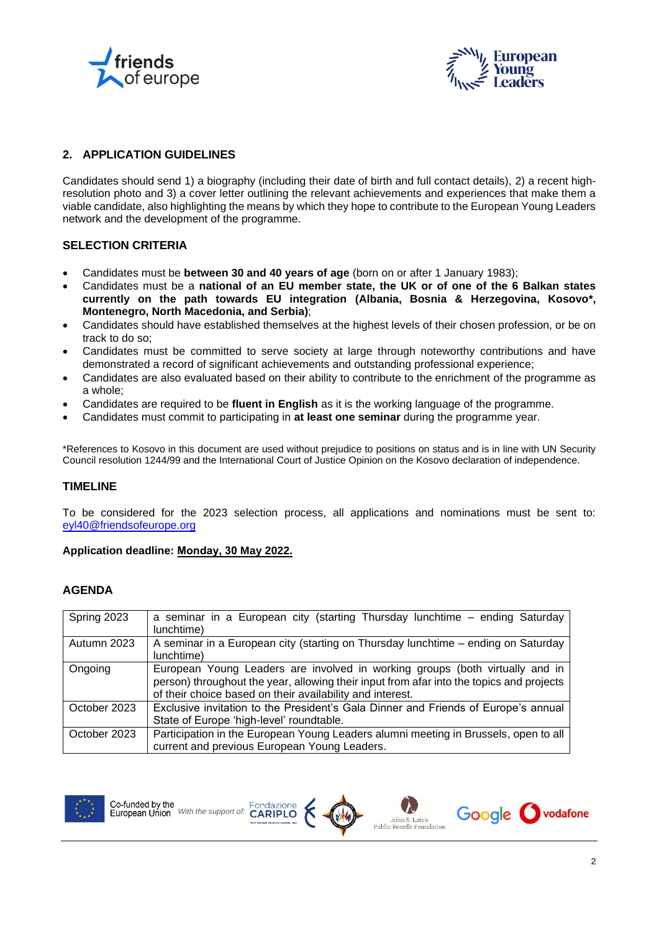



## **2. APPLICATION GUIDELINES**

Candidates should send 1) a biography (including their date of birth and full contact details), 2) a recent highresolution photo and 3) a cover letter outlining the relevant achievements and experiences that make them a viable candidate, also highlighting the means by which they hope to contribute to the European Young Leaders network and the development of the programme.

## **SELECTION CRITERIA**

- Candidates must be **between 30 and 40 years of age** (born on or after 1 January 1983);
- Candidates must be a **national of an EU member state, the UK or of one of the 6 Balkan states currently on the path towards EU integration (Albania, Bosnia & Herzegovina, Kosovo\*, Montenegro, North Macedonia, and Serbia)**;
- Candidates should have established themselves at the highest levels of their chosen profession, or be on track to do so;
- Candidates must be committed to serve society at large through noteworthy contributions and have demonstrated a record of significant achievements and outstanding professional experience;
- Candidates are also evaluated based on their ability to contribute to the enrichment of the programme as a whole;
- Candidates are required to be **fluent in English** as it is the working language of the programme.
- Candidates must commit to participating in **at least one seminar** during the programme year.

\*References to Kosovo in this document are used without prejudice to positions on status and is in line with UN Security Council resolution 1244/99 and the International Court of Justice Opinion on the Kosovo declaration of independence.

## **TIMELINE**

To be considered for the 2023 selection process, all applications and nominations must be sent to: [eyl40@friendsofeurope.org](mailto:eyl40@friendsofeurope.org)

## **Application deadline: Monday, 30 May 2022.**

## **AGENDA**

| Spring 2023  | a seminar in a European city (starting Thursday lunchtime – ending Saturday                                                                                                                                                           |
|--------------|---------------------------------------------------------------------------------------------------------------------------------------------------------------------------------------------------------------------------------------|
|              | lunchtime)                                                                                                                                                                                                                            |
| Autumn 2023  | A seminar in a European city (starting on Thursday lunchtime - ending on Saturday<br>lunchtime)                                                                                                                                       |
| Ongoing      | European Young Leaders are involved in working groups (both virtually and in<br>person) throughout the year, allowing their input from afar into the topics and projects<br>of their choice based on their availability and interest. |
| October 2023 | Exclusive invitation to the President's Gala Dinner and Friends of Europe's annual<br>State of Europe 'high-level' roundtable.                                                                                                        |
| October 2023 | Participation in the European Young Leaders alumni meeting in Brussels, open to all<br>current and previous European Young Leaders.                                                                                                   |





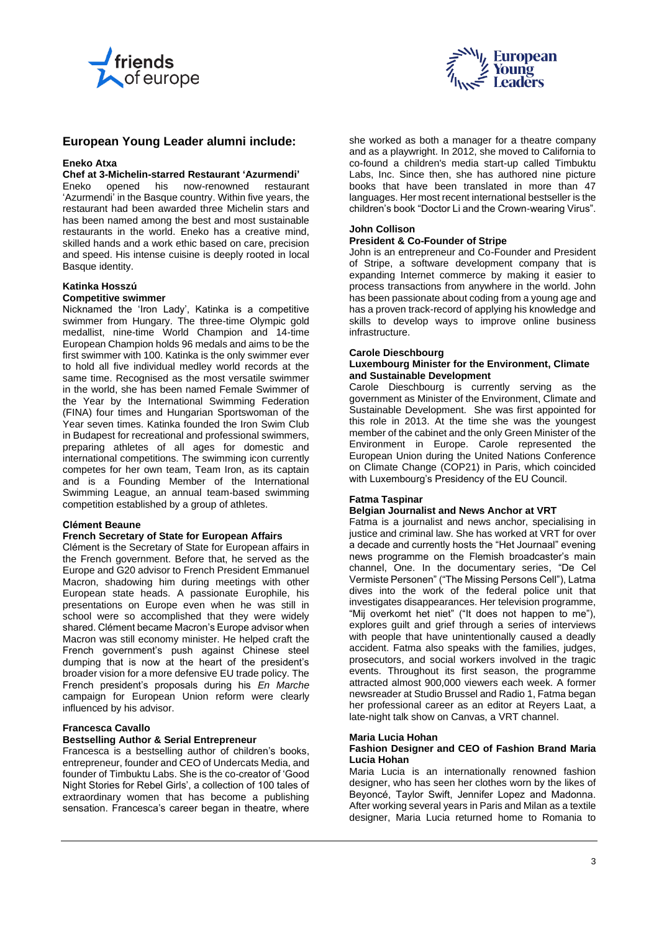



## **European Young Leader alumni include:**

#### **Eneko Atxa**

# **Chef at 3-Michelin-starred Restaurant 'Azurmendi'**

Eneko opened 'Azurmendi' in the Basque country. Within five years, the restaurant had been awarded three Michelin stars and has been named among the best and most sustainable restaurants in the world. Eneko has a creative mind, skilled hands and a work ethic based on care, precision and speed. His intense cuisine is deeply rooted in local Basque identity.

#### **Katinka Hosszú Competitive swimmer**

Nicknamed the 'Iron Lady', Katinka is a competitive swimmer from Hungary. The three-time Olympic gold medallist, nine-time World Champion and 14-time European Champion holds 96 medals and aims to be the first swimmer with 100. Katinka is the only swimmer ever to hold all five individual medley world records at the same time. Recognised as the most versatile swimmer in the world, she has been named Female Swimmer of the Year by the International Swimming Federation (FINA) four times and Hungarian Sportswoman of the Year seven times. Katinka founded the Iron Swim Club in Budapest for recreational and professional swimmers, preparing athletes of all ages for domestic and international competitions. The swimming icon currently competes for her own team, Team Iron, as its captain and is a Founding Member of the International Swimming League, an annual team-based swimming competition established by a group of athletes.

#### **Clément Beaune**

#### **French Secretary of State for European Affairs**

Clément is the Secretary of State for European affairs in the French government. Before that, he served as the Europe and G20 advisor to French President Emmanuel Macron, shadowing him during meetings with other European state heads. A passionate Europhile, his presentations on Europe even when he was still in school were so accomplished that they were widely shared. Clément became Macron's Europe advisor when Macron was still economy minister. He helped craft the French government's push against Chinese steel dumping that is now at the heart of the president's broader vision for a more defensive EU trade policy. The French president's proposals during his *En Marche* campaign for European Union reform were clearly influenced by his advisor.

#### **Francesca Cavallo**

#### **Bestselling Author & Serial Entrepreneur**

Francesca is a bestselling author of children's books, entrepreneur, founder and CEO of Undercats Media, and founder of Timbuktu Labs. She is the co-creator of 'Good Night Stories for Rebel Girls', a collection of 100 tales of extraordinary women that has become a publishing sensation. Francesca's career began in theatre, where

she worked as both a manager for a theatre company and as a playwright. In 2012, she moved to California to co-found a children's media start-up called Timbuktu Labs, Inc. Since then, she has authored nine picture books that have been translated in more than 47 languages. Her most recent international bestseller is the children's book "Doctor Li and the Crown-wearing Virus".

#### **John Collison**

## **President & Co-Founder of Stripe**

John is an entrepreneur and Co-Founder and President of Stripe, a software development company that is expanding Internet commerce by making it easier to process transactions from anywhere in the world. John has been passionate about coding from a young age and has a proven track-record of applying his knowledge and skills to develop ways to improve online business infrastructure.

#### **Carole Dieschbourg**

#### **Luxembourg Minister for the Environment, Climate and Sustainable Development**

Carole Dieschbourg is currently serving as the government as Minister of the Environment, Climate and Sustainable Development. She was first appointed for this role in 2013. At the time she was the youngest member of the cabinet and the only Green Minister of the Environment in Europe. Carole represented the European Union during the United Nations Conference on Climate Change (COP21) in Paris, which coincided with Luxembourg's Presidency of the EU Council.

#### **Fatma Taspinar**

#### **Belgian Journalist and News Anchor at VRT**

Fatma is a journalist and news anchor, specialising in justice and criminal law. She has worked at VRT for over a decade and currently hosts the "Het Journaal" evening news programme on the Flemish broadcaster's main channel, One. In the documentary series, "De Cel Vermiste Personen" ("The Missing Persons Cell"), Latma dives into the work of the federal police unit that investigates disappearances. Her television programme, "Mij overkomt het niet" ("It does not happen to me"), explores guilt and grief through a series of interviews with people that have unintentionally caused a deadly accident. Fatma also speaks with the families, judges, prosecutors, and social workers involved in the tragic events. Throughout its first season, the programme attracted almost 900,000 viewers each week. A former newsreader at Studio Brussel and Radio 1, Fatma began her professional career as an editor at Reyers Laat, a late-night talk show on Canvas, a VRT channel.

## **Maria Lucia Hohan**

#### **Fashion Designer and CEO of Fashion Brand Maria Lucia Hohan**

Maria Lucia is an internationally renowned fashion designer, who has seen her clothes worn by the likes of Beyoncé, Taylor Swift, Jennifer Lopez and Madonna. After working several years in Paris and Milan as a textile designer, Maria Lucia returned home to Romania to